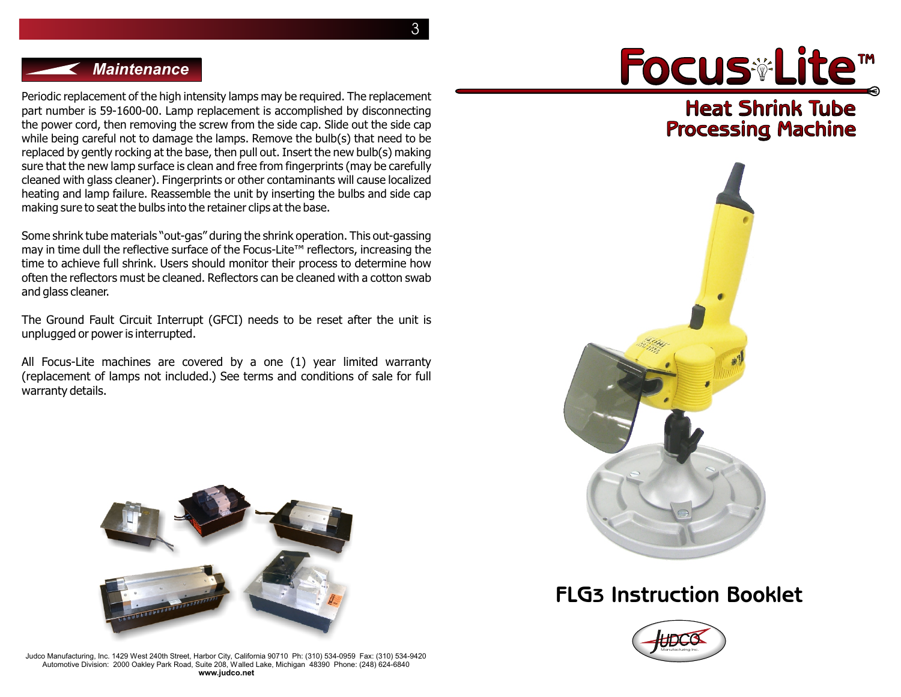3

### *Maintenance*

Periodic replacement of the high intensity lamps may be required. The replacement part number is 59-1600-00. Lamp replacement is accomplished by disconnecting the power cord, then removing the screw from the side cap. Slide out the side cap while being careful not to damage the lamps. Remove the bulb(s) that need to be replaced by gently rocking at the base, then pull out. Insert the new bulb(s) making sure that the new lamp surface is clean and free from fingerprints (may be carefully cleaned with glass cleaner). Fingerprints or other contaminants will cause localized heating and lamp failure. Reassemble the unit by inserting the bulbs and side cap making sure to seat the bulbs into the retainer clips at the base.

Some shrink tube materials "out-gas" during the shrink operation. This out-gassing may in time dull the reflective surface of the Focus-Lite™ reflectors, increasing the time to achieve full shrink. Users should monitor their process to determine how often the reflectors must be cleaned. Reflectors can be cleaned with a cotton swab and glass cleaner.

The Ground Fault Circuit Interrupt (GFCI) needs to be reset after the unit is unplugged or power is interrupted.

All Focus-Lite machines are covered by a one (1) year limited warranty (replacement of lamps not included.) See terms and conditions of sale for full warranty details.



Judco Manufacturing, Inc. 1429 West 240th Street, Harbor City, California 90710 Ph: (310) 534-0959 Fax: (310) 534-9420 Automotive Division: 2000 Oakley Park Road, Suite 208, Walled Lake, Michigan 48390 Phone: (248) 624-6840 **www.judco.net**

# Focus Lite™

**Heat Shrink Tube Processing Machine**



## **FLG3 Instruction Booklet**